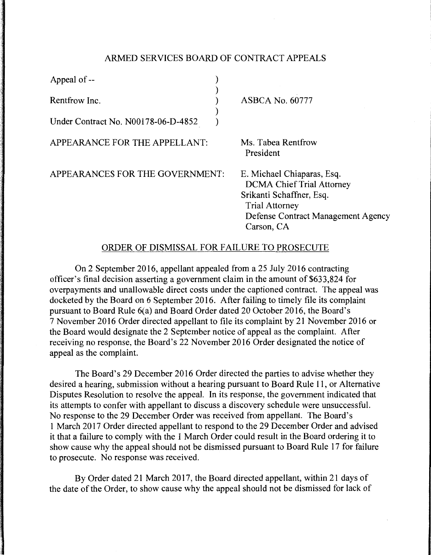## ARMED SERVICES BOARD OF CONTRACT APPEALS

| Appeal of --                                         |                                                                                                                                                                         |
|------------------------------------------------------|-------------------------------------------------------------------------------------------------------------------------------------------------------------------------|
| Rentfrow Inc.<br>Under Contract No. N00178-06-D-4852 | <b>ASBCA No. 60777</b>                                                                                                                                                  |
| APPEARANCE FOR THE APPELLANT:                        | Ms. Tabea Rentfrow<br>President                                                                                                                                         |
| APPEARANCES FOR THE GOVERNMENT:                      | E. Michael Chiaparas, Esq.<br><b>DCMA Chief Trial Attorney</b><br>Srikanti Schaffner, Esq.<br><b>Trial Attorney</b><br>Defense Contract Management Agency<br>Carson, CA |

## ORDER OF DISMISSAL FOR FAIL URE TO PROSECUTE

On 2 September 2016, appellant appealed from a 25 July 2016 contracting officer's final decision asserting a government claim in the amount of \$633,824 for overpayments and unallowable direct costs under the captioned contract. The appeal was docketed by the Board on 6 September 2016. After failing to timely file its complaint pursuant to Board Rule 6(a) and Board Order dated 20 October 2016, the Board's 7 November 2016 Order directed appellant to file its complaint by 21 November 2016 or the Board would designate the 2 September notice of appeal as the complaint. After receiving no response, the Board's 22 November 2016 Order designated the notice of appeal as the complaint.

The Board's 29 December 2016 Order directed the parties to advise whether they desired a hearing, submission without a hearing pursuant to Board Rule 11, or Alternative Disputes Resolution to resolve the appeal. In its response, the government indicated that its attempts to confer with appellant to discuss a discovery schedule were unsuccessful. No response to the 29 December Order was received from appellant. The Board's 1 March 2017 Order directed appellant to respond to the 29 December Order and advised it that a failure to comply with the 1 March Order could result in the Board ordering it to show cause why the appeal should not be dismissed pursuant to Board Rule 17 for failure to prosecute. No response was received.

By Order dated 21 March 2017, the Board directed appellant, within 21 days of the date of the Order, to show cause why the appeal should not be dismissed for lack of